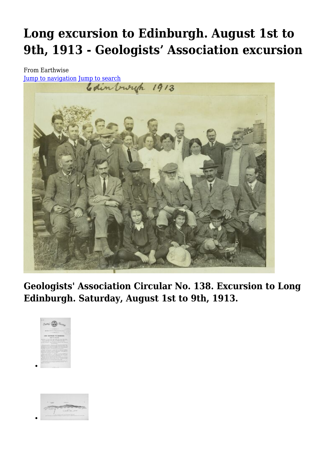# **Long excursion to Edinburgh. August 1st to 9th, 1913 - Geologists' Association excursion**

From Earthwise



**Geologists' Association Circular No. 138. Excursion to Long Edinburgh. Saturday, August 1st to 9th, 1913.**



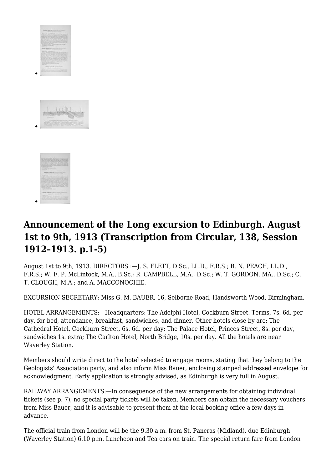

# **Announcement of the Long excursion to Edinburgh. August 1st to 9th, 1913 (Transcription from Circular, 138, Session 1912–1913. p.1-5)**

August 1st to 9th, 1913. DIRECTORS :—J. S. FLETT, D.Sc., LL.D., F.R.S.; B. N. PEACH, LL.D., F.R.S.; W. F. P. McLintock, M.A., B.Sc.; R. CAMPBELL, M.A., D.Sc.; W. T. GORDON, MA., D.Sc.; C. T. CLOUGH, M.A.; and A. MACCONOCHIE.

EXCURSION SECRETARY: Miss G. M. BAUER, 16, Selborne Road, Handsworth Wood, Birmingham.

HOTEL ARRANGEMENTS:—Headquarters: The Adelphi Hotel, Cockburn Street. Terms, 7s. 6d. per day, for bed, attendance, breakfast, sandwiches, and dinner. Other hotels close by are: The Cathedral Hotel, Cockburn Street, 6s. 6d. per day; The Palace Hotel, Princes Street, 8s. per day, sandwiches 1s. extra; The Carlton Hotel, North Bridge, 10s. per day. All the hotels are near Waverley Station.

Members should write direct to the hotel selected to engage rooms, stating that they belong to the Geologists' Association party, and also inform Miss Bauer, enclosing stamped addressed envelope for acknowledgment. Early application is strongly advised, as Edinburgh is very full in August.

RAILWAY ARRANGEMENTS:—In consequence of the new arrangements for obtaining individual tickets (see p. 7), no special party tickets will be taken. Members can obtain the necessary vouchers from Miss Bauer, and it is advisable to present them at the local booking office a few days in advance.

The official train from London will be the 9.30 a.m. from St. Pancras (Midland), due Edinburgh (Waverley Station) 6.10 p.m. Luncheon and Tea cars on train. The special return fare from London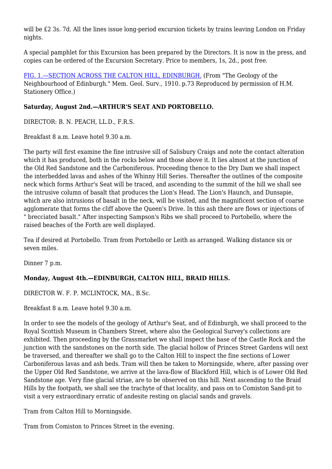will be £2 3s. 7d. All the lines issue long-period excursion tickets by trains leaving London on Friday nights.

A special pamphlet for this Excursion has been prepared by the Directors. It is now in the press, and copies can be ordered of the Excursion Secretary. Price to members, 1s, 2d., post free.

[FIG. 1.—SECTION ACROSS THE CALTON HILL, EDINBURGH.](http://earthwise.bgs.ac.uk/images/e/e6/GA_Image_0116.jpg) (From "The Geology of the Neighbourhood of Edinburgh." Mem. Geol. Surv., 1910. p.73 Reproduced by permission of H.M. Stationery Office.)

#### **Saturday, August 2nd.—ARTHUR'S SEAT AND PORTOBELLO.**

DIRECTOR: B. N. PEACH, LL.D., F.R.S.

Breakfast 8 a.m. Leave hotel 9.30 a.m.

The party will first examine the fine intrusive sill of Salisbury Craigs and note the contact alteration which it has produced, both in the rocks below and those above it. It lies almost at the junction of the Old Red Sandstone and the Carboniferous. Proceeding thence to the Dry Dam we shall inspect the interbedded lavas and ashes of the Whinny Hill Series. Thereafter the outlines of the composite neck which forms Arthur's Seat will be traced, and ascending to the summit of the hill we shall see the intrusive column of basalt that produces the Lion's Head. The Lion's Haunch, and Dunsapie, which are also intrusions of basalt in the neck, will be visited, and the magnificent section of coarse agglomerate that forms the cliff above the Queen's Drive. In this ash there are flows or injections of " brecciated basalt." After inspecting Sampson's Ribs we shall proceed to Portobello, where the raised beaches of the Forth are well displayed.

Tea if desired at Portobello. Tram from Portobello or Leith as arranged. Walking distance six or seven miles.

Dinner 7 p.m.

#### **Monday, August 4th.—EDINBURGH, CALTON HILL, BRAID HILLS.**

DIRECTOR W. F. P. MCLINTOCK, MA., B.Sc.

Breakfast 8 a.m. Leave hotel 9.30 a.m.

In order to see the models of the geology of Arthur's Seat, and of Edinburgh, we shall proceed to the Royal Scottish Museum in Chambers Street, where also the Geological Survey's collections are exhibited. Then proceeding by the Grassmarket we shall inspect the base of the Castle Rock and the junction with the sandstones on the north side. The glacial hollow of Princes Street Gardens will next be traversed, and thereafter we shall go to the Calton Hill to inspect the fine sections of Lower Carboniferous lavas and ash beds. Tram will then be taken to Morningside, where, after passing over the Upper Old Red Sandstone, we arrive at the lava-flow of Blackford Hill, which is of Lower Old Red Sandstone age. Very fine glacial striae, are to be observed on this hill. Next ascending to the Braid Hills by the footpath, we shall see the trachyte of that locality, and pass on to Comiston Sand-pit to visit a very extraordinary erratic of andesite resting on glacial sands and gravels.

Tram from Calton Hill to Morningside.

Tram from Comiston to Princes Street in the evening.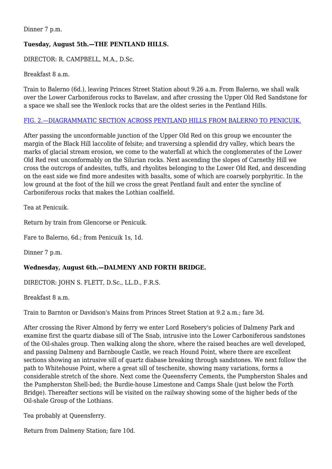Dinner 7 p.m.

#### **Tuesday, August 5th.—THE PENTLAND HILLS.**

DIRECTOR: R. CAMPBELL, M.A., D.Sc.

Breakfast 8 a.m.

Train to Balerno (6d.), leaving Princes Street Station about 9.26 a.m. From Balerno, we shall walk over the Lower Carboniferous rocks to Bavelaw, and after crossing the Upper Old Red Sandstone for a space we shall see the Wenlock rocks that are the oldest series in the Pentland Hills.

#### [FIG. 2.—DIAGRAMMATIC SECTION ACROSS PENTLAND HILLS FROM BALERNO TO PENICUIK.](http://earthwise.bgs.ac.uk/images/e/e6/GA_Image_0116.jpg)

After passing the unconformable junction of the Upper Old Red on this group we encounter the margin of the Black Hill laccolite of felsite; and traversing a splendid dry valley, which bears the marks of glacial stream erosion, we come to the waterfall at which the conglomerates of the Lower Old Red rest unconformably on the Silurian rocks. Next ascending the slopes of Carnethy Hill we cross the outcrops of andesites, tuffs, and rhyolites belonging to the Lower Old Red, and descending on the east side we find more andesites with basalts, some of which are coarsely porphyritic. In the low ground at the foot of the hill we cross the great Pentland fault and enter the syncline of Carboniferous rocks that makes the Lothian coalfield.

Tea at Penicuik.

Return by train from Glencorse or Penicuik.

Fare to Balerno, 6d.; from Penicuik 1s, 1d.

Dinner 7 p.m.

#### **Wednesday, August 6th.—DALMENY AND FORTH BRIDGE.**

DIRECTOR: JOHN S. FLETT, D.Sc., LL.D., F.R.S.

Breakfast 8 a.m.

Train to Barnton or Davidson's Mains from Princes Street Station at 9.2 a.m.; fare 3d.

After crossing the River Almond by ferry we enter Lord Rosebery's policies of Dalmeny Park and examine first the quartz diabase sill of The Snab, intrusive into the Lower Carboniferous sandstones of the Oil-shales group. Then walking along the shore, where the raised beaches are well developed, and passing Dalmeny and Barnbougle Castle, we reach Hound Point, where there are excellent sections showing an intrusive sill of quartz diabase breaking through sandstones. We next follow the path to Whitehouse Point, where a great sill of teschenite, showing many variations, forms a considerable stretch of the shore. Next come the Queensferry Cements, the Pumpherston Shales and the Pumpherston Shell-bed; the Burdie-house Limestone and Camps Shale (just below the Forth Bridge). Thereafter sections will be visited on the railway showing some of the higher beds of the Oil-shale Group of the Lothians.

Tea probably at Queensferry.

Return from Dalmeny Station; fare 10d.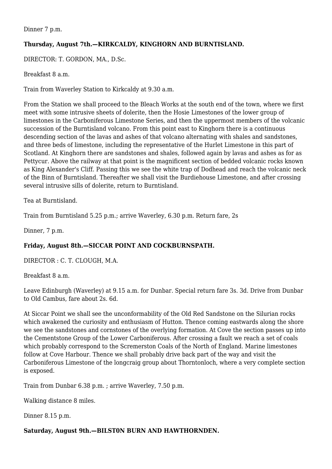Dinner 7 p.m.

#### **Thursday, August 7th.—KIRKCALDY, KINGHORN AND BURNTISLAND.**

DIRECTOR: T. GORDON, MA., D.Sc.

Breakfast 8 a.m.

Train from Waverley Station to Kirkcaldy at 9.30 a.m.

From the Station we shall proceed to the Bleach Works at the south end of the town, where we first meet with some intrusive sheets of dolerite, then the Hosie Limestones of the lower group of limestones in the Carboniferous Limestone Series, and then the uppermost members of the volcanic succession of the Burntisland volcano. From this point east to Kinghorn there is a continuous descending section of the lavas and ashes of that volcano alternating with shales and sandstones, and three beds of limestone, including the representative of the Hurlet Limestone in this part of Scotland. At Kinghorn there are sandstones and shales, followed again by lavas and ashes as for as Pettycur. Above the railway at that point is the magnificent section of bedded volcanic rocks known as King Alexander's Cliff. Passing this we see the white trap of Dodhead and reach the volcanic neck of the Binn of Burntisland. Thereafter we shall visit the Burdiehouse Limestone, and after crossing several intrusive sills of dolerite, return to Burntisland.

Tea at Burntisland.

Train from Burntisland 5.25 p.m.; arrive Waverley, 6.30 p.m. Return fare, 2s

Dinner, 7 p.m.

#### **Friday, August 8th.—SICCAR POINT AND COCKBURNSPATH.**

DIRECTOR : C. T. CLOUGH, M.A.

Breakfast 8 a.m.

Leave Edinburgh (Waverley) at 9.15 a.m. for Dunbar. Special return fare 3s. 3d. Drive from Dunbar to Old Cambus, fare about 2s. 6d.

At Siccar Point we shall see the unconformability of the Old Red Sandstone on the Silurian rocks which awakened the curiosity and enthusiasm of Hutton. Thence coming eastwards along the shore we see the sandstones and cornstones of the overlying formation. At Cove the section passes up into the Cementstone Group of the Lower Carboniferous. After crossing a fault we reach a set of coals which probably correspond to the Scremerston Coals of the North of England. Marine limestones follow at Cove Harbour. Thence we shall probably drive back part of the way and visit the Carboniferous Limestone of the longcraig group about Thorntonloch, where a very complete section is exposed.

Train from Dunbar 6.38 p.m. ; arrive Waverley, 7.50 p.m.

Walking distance 8 miles.

Dinner 8.15 p.m.

**Saturday, August 9th.—BILST0N BURN AND HAWTHORNDEN.**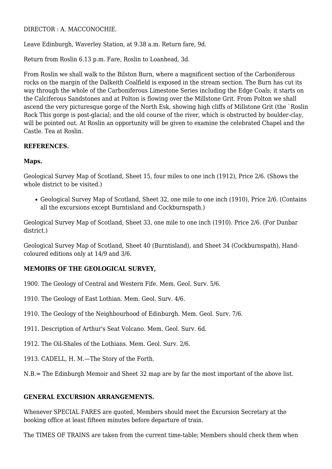DIRECTOR : A. MACCONOCHIE.

Leave Edinburgh, Waverley Station, at 9.38 a.m. Return fare, 9d.

Return from Roslin 6.13 p.m. Fare, Roslin to Loanhead, 3d.

From Roslin we shall walk to the Bilston Burn, where a magnificent section of the Carboniferous rocks on the margin of the Dalkeith Coalfield is exposed in the stream section. The Burn has cut its way through the whole of the Carboniferous Limestone Series including the Edge Coals; it starts on the Calciferous Sandstones and at Polton is flowing over the Millstone Grit. From Polton we shall ascend the very picturesque gorge of the North Esk, showing high cliffs of Millstone Grit (the `Roslin Rock This gorge is post-glacial; and the old course of the river, which is obstructed by boulder-clay, will be pointed out. At Roslin an opportunity will be given to examine the celebrated Chapel and the Castle. Tea at Roslin.

#### **REFERENCES.**

#### **Maps.**

Geological Survey Map of Scotland, Sheet 15, four miles to one inch (1912), Price 2/6. (Shows the whole district to be visited.)

Geological Survey Map of Scotland, Sheet 32, one mile to one inch (1910), Price 2/6. (Contains all the excursions except Burntisland and Cockburnspath.)

Geological Survey Map of Scotland, Sheet 33, one mile to one inch (1910). Price 2/6. (For Dunbar district.)

Geological Survey Map of Scotland, Sheet 40 (Burntisland), and Sheet 34 (Cockburnspath), Handcoloured editions only at 14/9 and 3/6.

#### **MEMOIRS OF THE GEOLOGICAL SURVEY,**

- 1900. The Geology of Central and Western Fife. Mem. Geol. Surv. 5/6.
- 1910. The Geology of East Lothian. Mem. Geol. Surv. 4/6.
- 1910. The Geology of the Neighbourhood of Edinburgh. Mem. Geol. Surv. 7/6.
- 1911. Description of Arthur's Seat Volcano. Mem. Geol. Surv. 6d.
- 1912. The Oil-Shales of the Lothians. Mem. Geol. Surv. 2/6.
- 1913. CADELL, H. M.—The Story of the Forth.

N.B.= The Edinburgh Memoir and Sheet 32 map are by far the most important of the above list.

#### **GENERAL EXCURSION ARRANGEMENTS.**

Whenever SPECIAL FARES are quoted, Members should meet the Excursion Secretary at the booking office at least fifteen minutes before departure of train.

The TIMES OF TRAINS are taken from the current time-table; Members should check them when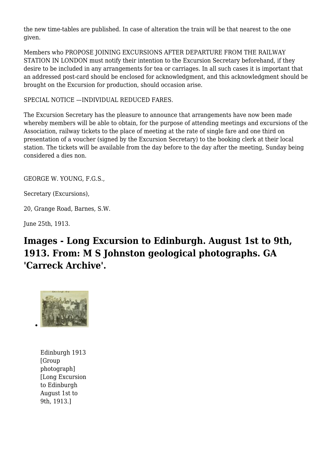the new time-tables are published. In case of alteration the train will be that nearest to the one given.

Members who PROPOSE JOINING EXCURSIONS AFTER DEPARTURE FROM THE RAILWAY STATION IN LONDON must notify their intention to the Excursion Secretary beforehand, if they desire to be included in any arrangements for tea or carriages. In all such cases it is important that an addressed post-card should be enclosed for acknowledgment, and this acknowledgment should be brought on the Excursion for production, should occasion arise.

SPECIAL NOTICE —INDIVIDUAL REDUCED FARES.

The Excursion Secretary has the pleasure to announce that arrangements have now been made whereby members will be able to obtain, for the purpose of attending meetings and excursions of the Association, railway tickets to the place of meeting at the rate of single fare and one third on presentation of a voucher (signed by the Excursion Secretary) to the booking clerk at their local station. The tickets will be available from the day before to the day after the meeting, Sunday being considered a dies non.

GEORGE W. YOUNG, F.G.S.,

Secretary (Excursions),

20, Grange Road, Barnes, S.W.

June 25th, 1913.

# **Images - Long Excursion to Edinburgh. August 1st to 9th, 1913. From: M S Johnston geological photographs. GA 'Carreck Archive'.**



Edinburgh 1913 [Group photograph] [Long Excursion to Edinburgh August 1st to 9th, 1913.]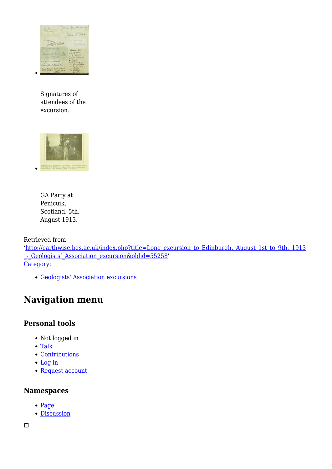

Signatures of attendees of the excursion.



GA Party at Penicuik, Scotland. 5th. August 1913.

Retrieved from

'[http://earthwise.bgs.ac.uk/index.php?title=Long\\_excursion\\_to\\_Edinburgh.\\_August\\_1st\\_to\\_9th,\\_1913](http://earthwise.bgs.ac.uk/index.php?title=Long_excursion_to_Edinburgh._August_1st_to_9th,_1913_-_Geologists’_Association_excursion&oldid=55258) [\\_-\\_Geologists'\\_Association\\_excursion&oldid=55258'](http://earthwise.bgs.ac.uk/index.php?title=Long_excursion_to_Edinburgh._August_1st_to_9th,_1913_-_Geologists’_Association_excursion&oldid=55258) [Category](http://earthwise.bgs.ac.uk/index.php/Special:Categories):

[Geologists' Association excursions](http://earthwise.bgs.ac.uk/index.php/Category:Geologists%27_Association_excursions)

# **Navigation menu**

# **Personal tools**

- Not logged in
- [Talk](http://earthwise.bgs.ac.uk/index.php/Special:MyTalk)
- [Contributions](http://earthwise.bgs.ac.uk/index.php/Special:MyContributions)
- [Log in](http://earthwise.bgs.ac.uk/index.php?title=Special:UserLogin&returnto=Long+excursion+to+Edinburgh.+August+1st+to+9th%2C+1913+-+Geologists%E2%80%99+Association+excursion&returntoquery=action%3Dmpdf)
- [Request account](http://earthwise.bgs.ac.uk/index.php/Special:RequestAccount)

### **Namespaces**

- [Page](http://earthwise.bgs.ac.uk/index.php/Long_excursion_to_Edinburgh._August_1st_to_9th,_1913_-_Geologists%E2%80%99_Association_excursion)
- [Discussion](http://earthwise.bgs.ac.uk/index.php?title=Talk:Long_excursion_to_Edinburgh._August_1st_to_9th,_1913_-_Geologists%E2%80%99_Association_excursion&action=edit&redlink=1)

 $\Box$